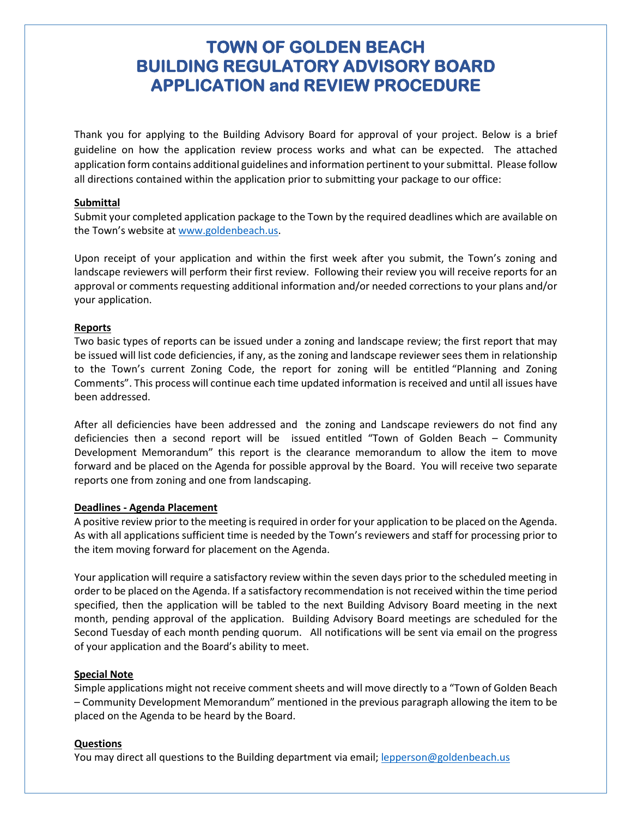## **TOWN OF GOLDEN BEACH BUILDING REGULATORY ADVISORY BOARD APPLICATION and REVIEW PROCEDURE**

Thank you for applying to the Building Advisory Board for approval of your project. Below is a brief guideline on how the application review process works and what can be expected. The attached application form contains additional guidelines and information pertinent to your submittal. Please follow all directions contained within the application prior to submitting your package to our office:

#### **Submittal**

Submit your completed application package to the Town by the required deadlines which are available on the Town's website at [www.goldenbeach.us.](http://www.goldenbeach.us/)

Upon receipt of your application and within the first week after you submit, the Town's zoning and landscape reviewers will perform their first review. Following their review you will receive reports for an approval or comments requesting additional information and/or needed corrections to your plans and/or your application.

#### **Reports**

Two basic types of reports can be issued under a zoning and landscape review; the first report that may be issued will list code deficiencies, if any, as the zoning and landscape reviewer sees them in relationship to the Town's current Zoning Code, the report for zoning will be entitled "Planning and Zoning Comments". This process will continue each time updated information is received and until all issues have been addressed.

After all deficiencies have been addressed and the zoning and Landscape reviewers do not find any deficiencies then a second report will be issued entitled "Town of Golden Beach – Community Development Memorandum" this report is the clearance memorandum to allow the item to move forward and be placed on the Agenda for possible approval by the Board. You will receive two separate reports one from zoning and one from landscaping.

#### **Deadlines - Agenda Placement**

A positive review prior to the meeting is required in order for your application to be placed on the Agenda. As with all applications sufficient time is needed by the Town's reviewers and staff for processing prior to the item moving forward for placement on the Agenda.

Your application will require a satisfactory review within the seven days prior to the scheduled meeting in order to be placed on the Agenda. If a satisfactory recommendation is not received within the time period specified, then the application will be tabled to the next Building Advisory Board meeting in the next month, pending approval of the application. Building Advisory Board meetings are scheduled for the Second Tuesday of each month pending quorum. All notifications will be sent via email on the progress of your application and the Board's ability to meet.

#### **Special Note**

Simple applications might not receive comment sheets and will move directly to a "Town of Golden Beach – Community Development Memorandum" mentioned in the previous paragraph allowing the item to be placed on the Agenda to be heard by the Board.

#### **Questions**

You may direct all questions to the Building department via email; [lepperson@goldenbeach.us](mailto:lepperson@goldenbeach.us)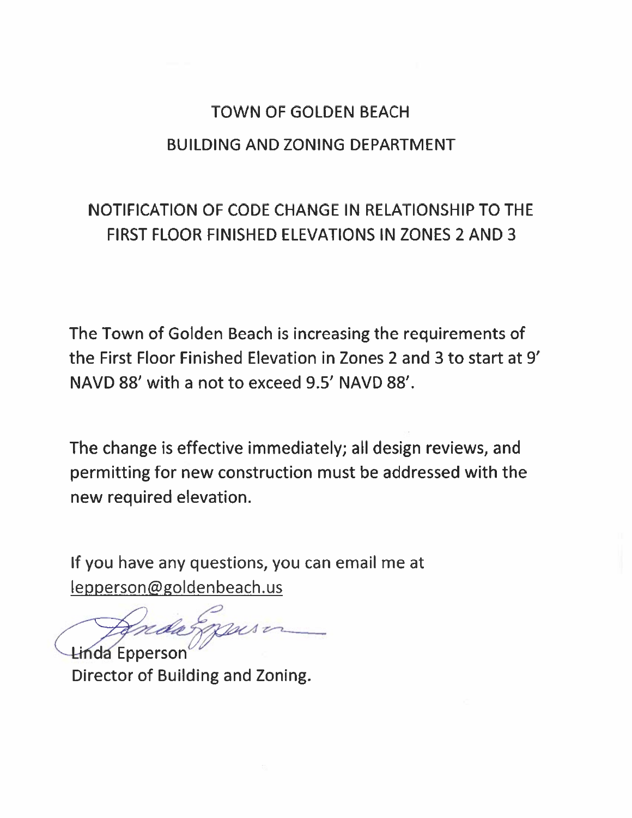# **TOWN OF GOLDEN BEACH BUILDING AND ZONING DEPARTMENT**

## NOTIFICATION OF CODE CHANGE IN RELATIONSHIP TO THE **FIRST FLOOR FINISHED ELEVATIONS IN ZONES 2 AND 3**

The Town of Golden Beach is increasing the requirements of the First Floor Finished Elevation in Zones 2 and 3 to start at 9' NAVD 88' with a not to exceed 9.5' NAVD 88'.

The change is effective immediately; all design reviews, and permitting for new construction must be addressed with the new required elevation.

If you have any questions, you can email me at lepperson@goldenbeach.us

**Linda Epperson** Director of Building and Zoning.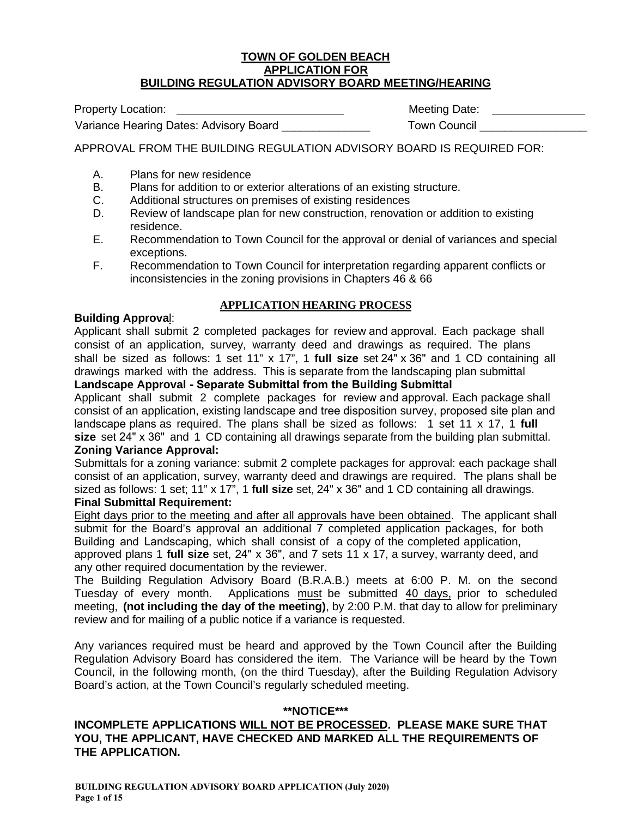#### **TOWN OF GOLDEN BEACH APPLICATION FOR BUILDING REGULATION ADVISORY BOARD MEETING/HEARING**

| <b>Property Location:</b>              | Meeting Date: |
|----------------------------------------|---------------|
| Variance Hearing Dates: Advisory Board | Town Council  |

APPROVAL FROM THE BUILDING REGULATION ADVISORY BOARD IS REQUIRED FOR:

- A. Plans for new residence
- B. Plans for addition to or exterior alterations of an existing structure.
- C. Additional structures on premises of existing residences
- D. Review of landscape plan for new construction, renovation or addition to existing residence.
- E. Recommendation to Town Council for the approval or denial of variances and special exceptions.
- F. Recommendation to Town Council for interpretation regarding apparent conflicts or inconsistencies in the zoning provisions in Chapters 46 & 66

#### **APPLICATION HEARING PROCESS**

#### **Building Approva**l:

Applicant shall submit 2 completed packages for review and approval. Each package shall consist of an application, survey, warranty deed and drawings as required. The plans shall be sized as follows: 1 set 11" x 17", 1 **full size** set 24" x 36" and 1 CD containing all drawings marked with the address. This is separate from the landscaping plan submittal

**Landscape Approval - Separate Submittal from the Building Submittal**

Applicant shall submit 2 complete packages for review and approval. Each package shall consist of an application, existing landscape and tree disposition survey, proposed site plan and landscape plans as required. The plans shall be sized as follows: 1 set 11 x 17, 1 **full size** set 24" x 36" and 1 CD containing all drawings separate from the building plan submittal. **Zoning Variance Approval:**

#### Submittals for a zoning variance: submit 2 complete packages for approval: each package shall consist of an application, survey, warranty deed and drawings are required. The plans shall be sized as follows: 1 set; 11" x 17", 1 **full size** set, 24" x 36" and 1 CD containing all drawings. **Final Submittal Requirement:**

Eight days prior to the meeting and after all approvals have been obtained. The applicant shall submit for the Board's approval an additional 7 completed application packages, for both Building and Landscaping, which shall consist of a copy of the completed application, approved plans 1 **full size** set, 24" x 36", and 7 sets 11 x 17, a survey, warranty deed, and any other required documentation by the reviewer.

The Building Regulation Advisory Board (B.R.A.B.) meets at 6:00 P. M. on the second Tuesday of every month. Applications must be submitted 40 days, prior to scheduled meeting, **(not including the day of the meeting)**, by 2:00 P.M. that day to allow for preliminary review and for mailing of a public notice if a variance is requested.

Any variances required must be heard and approved by the Town Council after the Building Regulation Advisory Board has considered the item. The Variance will be heard by the Town Council, in the following month, (on the third Tuesday), after the Building Regulation Advisory Board's action, at the Town Council's regularly scheduled meeting.

#### **\*\*NOTICE\*\*\***

#### **INCOMPLETE APPLICATIONS WILL NOT BE PROCESSED. PLEASE MAKE SURE THAT YOU, THE APPLICANT, HAVE CHECKED AND MARKED ALL THE REQUIREMENTS OF THE APPLICATION.**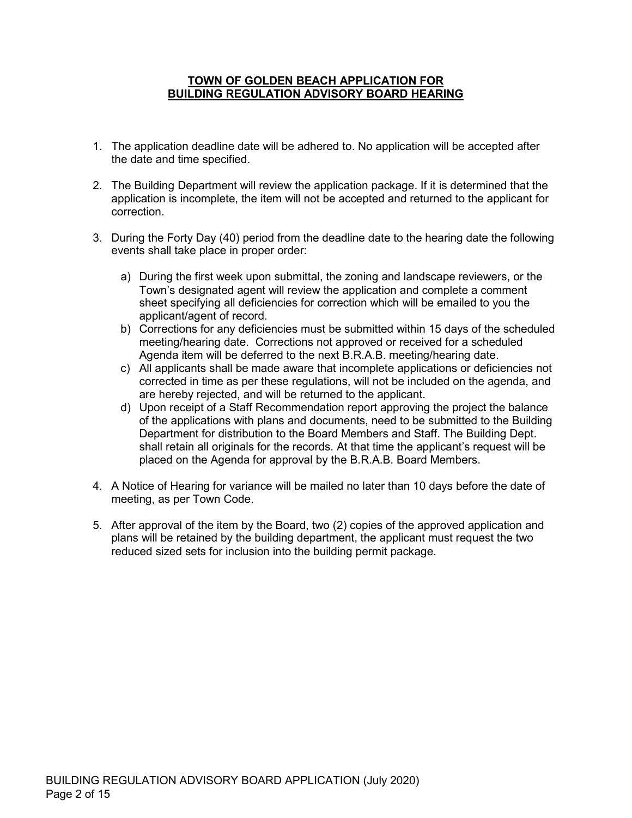#### **TOWN OF GOLDEN BEACH APPLICATION FOR BUILDING REGULATION ADVISORY BOARD HEARING**

- 1. The application deadline date will be adhered to. No application will be accepted after the date and time specified.
- 2. The Building Department will review the application package. If it is determined that the application is incomplete, the item will not be accepted and returned to the applicant for correction.
- 3. During the Forty Day (40) period from the deadline date to the hearing date the following events shall take place in proper order:
	- a) During the first week upon submittal, the zoning and landscape reviewers, or the Town's designated agent will review the application and complete a comment sheet specifying all deficiencies for correction which will be emailed to you the applicant/agent of record.
	- b) Corrections for any deficiencies must be submitted within 15 days of the scheduled meeting/hearing date. Corrections not approved or received for a scheduled Agenda item will be deferred to the next B.R.A.B. meeting/hearing date.
	- c) All applicants shall be made aware that incomplete applications or deficiencies not corrected in time as per these regulations, will not be included on the agenda, and are hereby rejected, and will be returned to the applicant.
	- d) Upon receipt of a Staff Recommendation report approving the project the balance of the applications with plans and documents, need to be submitted to the Building Department for distribution to the Board Members and Staff. The Building Dept. shall retain all originals for the records. At that time the applicant's request will be placed on the Agenda for approval by the B.R.A.B. Board Members.
- 4. A Notice of Hearing for variance will be mailed no later than 10 days before the date of meeting, as per Town Code.
- 5. After approval of the item by the Board, two (2) copies of the approved application and plans will be retained by the building department, the applicant must request the two reduced sized sets for inclusion into the building permit package.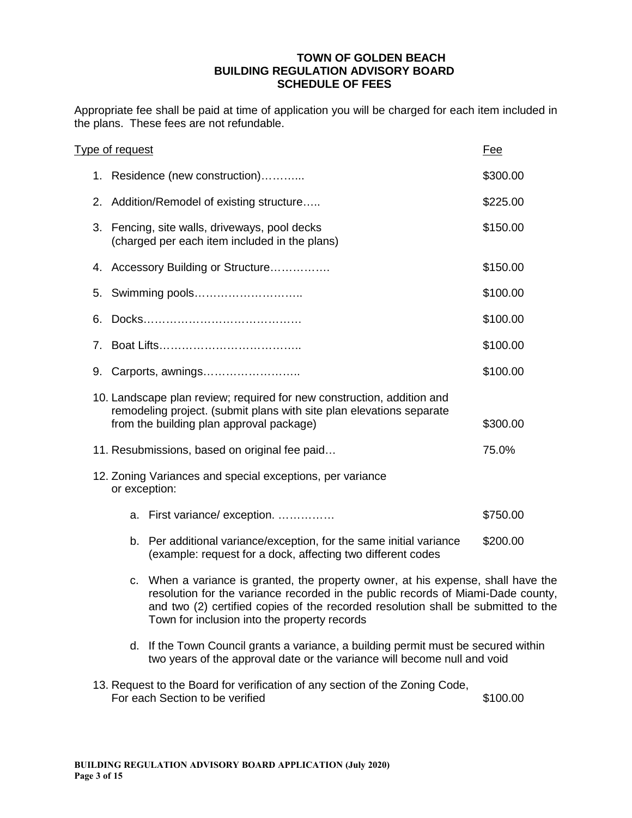#### **TOWN OF GOLDEN BEACH BUILDING REGULATION ADVISORY BOARD SCHEDULE OF FEES**

Appropriate fee shall be paid at time of application you will be charged for each item included in the plans. These fees are not refundable.

|                                | Type of request |                                                                                                                                                                                            | Fee      |
|--------------------------------|-----------------|--------------------------------------------------------------------------------------------------------------------------------------------------------------------------------------------|----------|
|                                |                 | 1. Residence (new construction)                                                                                                                                                            | \$300.00 |
|                                |                 | 2. Addition/Remodel of existing structure                                                                                                                                                  | \$225.00 |
|                                |                 | 3. Fencing, site walls, driveways, pool decks<br>(charged per each item included in the plans)                                                                                             | \$150.00 |
|                                |                 | 4. Accessory Building or Structure                                                                                                                                                         | \$150.00 |
| 5.                             |                 | Swimming pools                                                                                                                                                                             | \$100.00 |
| 6.                             |                 |                                                                                                                                                                                            | \$100.00 |
| $7_{\scriptscriptstyle{\sim}}$ |                 |                                                                                                                                                                                            | \$100.00 |
| 9.                             |                 | Carports, awnings                                                                                                                                                                          | \$100.00 |
|                                |                 | 10. Landscape plan review; required for new construction, addition and<br>remodeling project. (submit plans with site plan elevations separate<br>from the building plan approval package) | \$300.00 |
|                                |                 | 11. Resubmissions, based on original fee paid                                                                                                                                              | 75.0%    |
|                                |                 | 12. Zoning Variances and special exceptions, per variance<br>or exception:                                                                                                                 |          |
|                                |                 | a. First variance/exception.                                                                                                                                                               | \$750.00 |
|                                | b.              | Per additional variance/exception, for the same initial variance<br>(example: request for a dock, affecting two different codes                                                            | \$200.00 |

- c. When a variance is granted, the property owner, at his expense, shall have the resolution for the variance recorded in the public records of Miami-Dade county, and two (2) certified copies of the recorded resolution shall be submitted to the Town for inclusion into the property records
- d. If the Town Council grants a variance, a building permit must be secured within two years of the approval date or the variance will become null and void
- 13. Request to the Board for verification of any section of the Zoning Code, For each Section to be verified  $$100.00$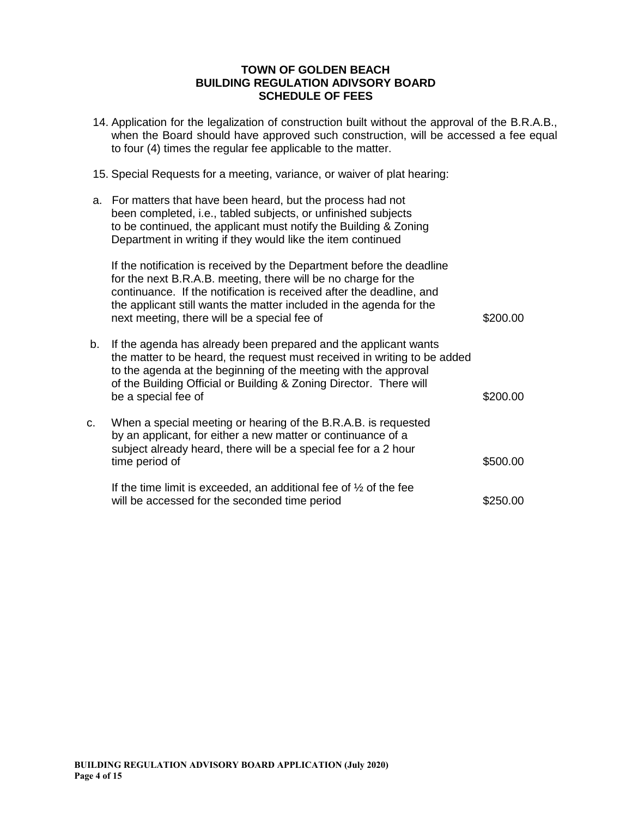#### **TOWN OF GOLDEN BEACH BUILDING REGULATION ADIVSORY BOARD SCHEDULE OF FEES**

- 14. Application for the legalization of construction built without the approval of the B.R.A.B., when the Board should have approved such construction, will be accessed a fee equal to four (4) times the regular fee applicable to the matter.
- 15. Special Requests for a meeting, variance, or waiver of plat hearing:
- a. For matters that have been heard, but the process had not been completed, i.e., tabled subjects, or unfinished subjects to be continued, the applicant must notify the Building & Zoning Department in writing if they would like the item continued If the notification is received by the Department before the deadline for the next B.R.A.B. meeting, there will be no charge for the continuance. If the notification is received after the deadline, and the applicant still wants the matter included in the agenda for the next meeting, there will be a special fee of  $$200.00$ b. If the agenda has already been prepared and the applicant wants
- the matter to be heard, the request must received in writing to be added to the agenda at the beginning of the meeting with the approval of the Building Official or Building & Zoning Director. There will be a special fee of  $$200.00$ c. When a special meeting or hearing of the B.R.A.B. is requested by an applicant, for either a new matter or continuance of a subject already heard, there will be a special fee for a 2 hour time period of  $$500.00$

| If the time limit is exceeded, an additional fee of $\frac{1}{2}$ of the fee |          |
|------------------------------------------------------------------------------|----------|
| will be accessed for the seconded time period                                | \$250.00 |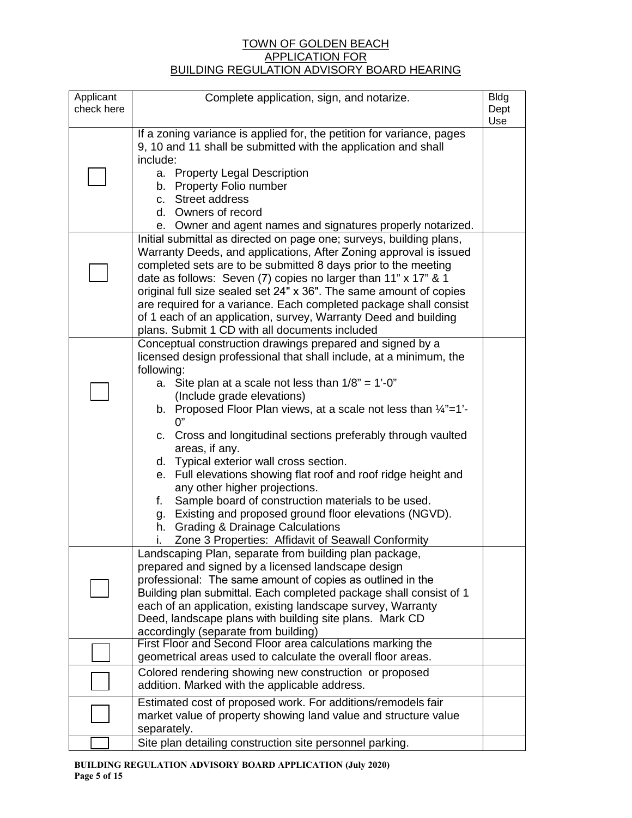#### TOWN OF GOLDEN BEACH APPLICATION FOR BUILDING REGULATION ADVISORY BOARD HEARING

| Applicant  | Complete application, sign, and notarize.                                                       | <b>Bldg</b> |
|------------|-------------------------------------------------------------------------------------------------|-------------|
| check here |                                                                                                 | Dept        |
|            |                                                                                                 | Use         |
|            | If a zoning variance is applied for, the petition for variance, pages                           |             |
|            | 9, 10 and 11 shall be submitted with the application and shall                                  |             |
|            | include:                                                                                        |             |
|            | a. Property Legal Description                                                                   |             |
|            | b. Property Folio number                                                                        |             |
|            | c. Street address                                                                               |             |
|            | d. Owners of record                                                                             |             |
|            | e. Owner and agent names and signatures properly notarized.                                     |             |
|            | Initial submittal as directed on page one; surveys, building plans,                             |             |
|            | Warranty Deeds, and applications, After Zoning approval is issued                               |             |
|            | completed sets are to be submitted 8 days prior to the meeting                                  |             |
|            | date as follows: Seven (7) copies no larger than 11" x 17" & 1                                  |             |
|            | original full size sealed set 24" x 36". The same amount of copies                              |             |
|            | are required for a variance. Each completed package shall consist                               |             |
|            | of 1 each of an application, survey, Warranty Deed and building                                 |             |
|            | plans. Submit 1 CD with all documents included                                                  |             |
|            | Conceptual construction drawings prepared and signed by a                                       |             |
|            | licensed design professional that shall include, at a minimum, the                              |             |
|            | following:                                                                                      |             |
|            | Site plan at a scale not less than $1/8" = 1'-0"$<br>а.                                         |             |
|            | (Include grade elevations)                                                                      |             |
|            | b. Proposed Floor Plan views, at a scale not less than $\frac{1}{4}$ "=1'-<br>0"                |             |
|            |                                                                                                 |             |
|            | c. Cross and longitudinal sections preferably through vaulted                                   |             |
|            | areas, if any.                                                                                  |             |
|            | d. Typical exterior wall cross section.                                                         |             |
|            | e. Full elevations showing flat roof and roof ridge height and<br>any other higher projections. |             |
|            | Sample board of construction materials to be used.<br>f.                                        |             |
|            | g. Existing and proposed ground floor elevations (NGVD).                                        |             |
|            | h. Grading & Drainage Calculations                                                              |             |
|            | Zone 3 Properties: Affidavit of Seawall Conformity                                              |             |
|            | Landscaping Plan, separate from building plan package,                                          |             |
|            | prepared and signed by a licensed landscape design                                              |             |
|            | professional: The same amount of copies as outlined in the                                      |             |
|            | Building plan submittal. Each completed package shall consist of 1                              |             |
|            | each of an application, existing landscape survey, Warranty                                     |             |
|            | Deed, landscape plans with building site plans. Mark CD                                         |             |
|            | accordingly (separate from building)                                                            |             |
|            | First Floor and Second Floor area calculations marking the                                      |             |
|            | geometrical areas used to calculate the overall floor areas.                                    |             |
|            | Colored rendering showing new construction or proposed                                          |             |
|            | addition. Marked with the applicable address.                                                   |             |
|            |                                                                                                 |             |
|            | Estimated cost of proposed work. For additions/remodels fair                                    |             |
|            | market value of property showing land value and structure value                                 |             |
|            | separately.                                                                                     |             |
|            | Site plan detailing construction site personnel parking.                                        |             |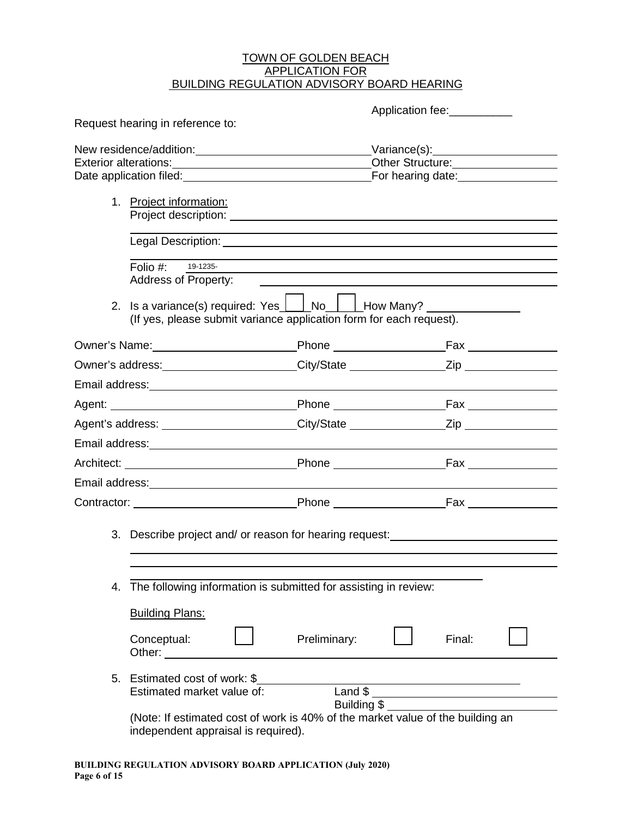#### <u>TOWN OF GOLDEN BEACH</u> APPLICATION FOR BUILDING REGULATION ADVISORY BOARD HEARING

|                                                                                                                       |                                                                                                                                                                                                                                                           |              | Application fee:                                         |        |  |
|-----------------------------------------------------------------------------------------------------------------------|-----------------------------------------------------------------------------------------------------------------------------------------------------------------------------------------------------------------------------------------------------------|--------------|----------------------------------------------------------|--------|--|
|                                                                                                                       | Request hearing in reference to:                                                                                                                                                                                                                          |              |                                                          |        |  |
|                                                                                                                       | New residence/addition:<br>New residence/addition:                                                                                                                                                                                                        |              |                                                          |        |  |
|                                                                                                                       | Exterior alterations:<br><u> Exterior</u> alterations:<br>Date application filed: Date and Date application filed:                                                                                                                                        |              | Other Structure:<br>For hearing date: <b>For hearing</b> |        |  |
|                                                                                                                       |                                                                                                                                                                                                                                                           |              |                                                          |        |  |
|                                                                                                                       | 1. Project information:<br>Project description: The contract of the contract of the contract of the contract of the contract of the contract of the contract of the contract of the contract of the contract of the contract of the contract of the contr |              |                                                          |        |  |
|                                                                                                                       |                                                                                                                                                                                                                                                           |              |                                                          |        |  |
|                                                                                                                       |                                                                                                                                                                                                                                                           |              |                                                          |        |  |
|                                                                                                                       | Folio $#$ :<br>19-1235-                                                                                                                                                                                                                                   |              |                                                          |        |  |
|                                                                                                                       | Address of Property:                                                                                                                                                                                                                                      |              |                                                          |        |  |
|                                                                                                                       | 2. Is a variance(s) required: Yes   No   How Many?<br>(If yes, please submit variance application form for each request).                                                                                                                                 |              |                                                          |        |  |
|                                                                                                                       | Owner's Name: Name: Name All Phone New York Phone New York Phone New York Player New York Phone New York Player                                                                                                                                           |              |                                                          |        |  |
|                                                                                                                       |                                                                                                                                                                                                                                                           |              |                                                          |        |  |
|                                                                                                                       |                                                                                                                                                                                                                                                           |              |                                                          |        |  |
|                                                                                                                       |                                                                                                                                                                                                                                                           |              |                                                          |        |  |
|                                                                                                                       | Agent's address: ______________________City/State __________________Zip _______________                                                                                                                                                                   |              |                                                          |        |  |
|                                                                                                                       |                                                                                                                                                                                                                                                           |              |                                                          |        |  |
|                                                                                                                       |                                                                                                                                                                                                                                                           |              |                                                          |        |  |
|                                                                                                                       | Email address:<br><u> Email address:</u>                                                                                                                                                                                                                  |              |                                                          |        |  |
|                                                                                                                       |                                                                                                                                                                                                                                                           |              |                                                          |        |  |
|                                                                                                                       | 3. Describe project and/ or reason for hearing request:                                                                                                                                                                                                   |              |                                                          |        |  |
|                                                                                                                       |                                                                                                                                                                                                                                                           |              |                                                          |        |  |
| 4.                                                                                                                    | The following information is submitted for assisting in review:                                                                                                                                                                                           |              |                                                          |        |  |
|                                                                                                                       |                                                                                                                                                                                                                                                           |              |                                                          |        |  |
|                                                                                                                       | <b>Building Plans:</b>                                                                                                                                                                                                                                    |              |                                                          |        |  |
|                                                                                                                       | Conceptual:<br>Other: and the state of the state of the state of the state of the state of the state of the state of the state of the state of the state of the state of the state of the state of the state of the state of the state of the             | Preliminary: |                                                          | Final: |  |
|                                                                                                                       | 5. Estimated cost of work: \$                                                                                                                                                                                                                             |              |                                                          |        |  |
|                                                                                                                       | Estimated market value of:                                                                                                                                                                                                                                |              | Land \$                                                  |        |  |
|                                                                                                                       |                                                                                                                                                                                                                                                           | Building \$  |                                                          |        |  |
| (Note: If estimated cost of work is 40% of the market value of the building an<br>independent appraisal is required). |                                                                                                                                                                                                                                                           |              |                                                          |        |  |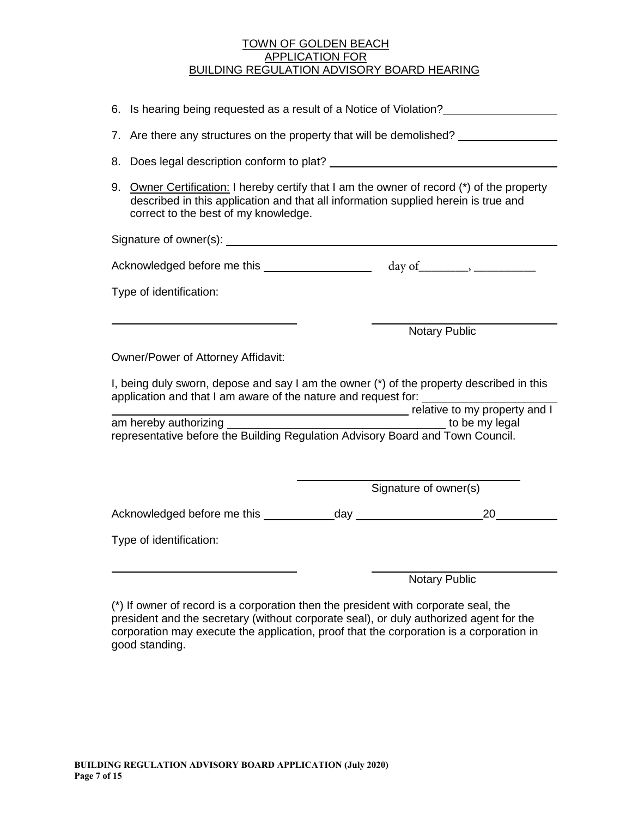#### TOWN OF GOLDEN BEACH APPLICATION FOR BUILDING REGULATION ADVISORY BOARD HEARING

| 6. Is hearing being requested as a result of a Notice of Violation?                                                                                        |  |                                                                                         |  |  |
|------------------------------------------------------------------------------------------------------------------------------------------------------------|--|-----------------------------------------------------------------------------------------|--|--|
|                                                                                                                                                            |  | 7. Are there any structures on the property that will be demolished? ___________        |  |  |
|                                                                                                                                                            |  |                                                                                         |  |  |
| 9.<br>described in this application and that all information supplied herein is true and<br>correct to the best of my knowledge.                           |  | Owner Certification: I hereby certify that I am the owner of record (*) of the property |  |  |
|                                                                                                                                                            |  |                                                                                         |  |  |
| Acknowledged before me this _____________________ day of________, _____________                                                                            |  |                                                                                         |  |  |
| Type of identification:                                                                                                                                    |  |                                                                                         |  |  |
|                                                                                                                                                            |  |                                                                                         |  |  |
|                                                                                                                                                            |  | <b>Notary Public</b>                                                                    |  |  |
| Owner/Power of Attorney Affidavit:                                                                                                                         |  |                                                                                         |  |  |
| I, being duly sworn, depose and say I am the owner (*) of the property described in this<br>application and that I am aware of the nature and request for: |  |                                                                                         |  |  |
| relative to my property and I                                                                                                                              |  |                                                                                         |  |  |
| to be my legal<br>representative before the Building Regulation Advisory Board and Town Council.                                                           |  |                                                                                         |  |  |
|                                                                                                                                                            |  |                                                                                         |  |  |
|                                                                                                                                                            |  |                                                                                         |  |  |
|                                                                                                                                                            |  | Signature of owner(s)                                                                   |  |  |
|                                                                                                                                                            |  | 20                                                                                      |  |  |
| Type of identification:                                                                                                                                    |  |                                                                                         |  |  |
|                                                                                                                                                            |  |                                                                                         |  |  |
|                                                                                                                                                            |  | <b>Notary Public</b>                                                                    |  |  |

(\*) If owner of record is a corporation then the president with corporate seal, the president and the secretary (without corporate seal), or duly authorized agent for the corporation may execute the application, proof that the corporation is a corporation in good standing.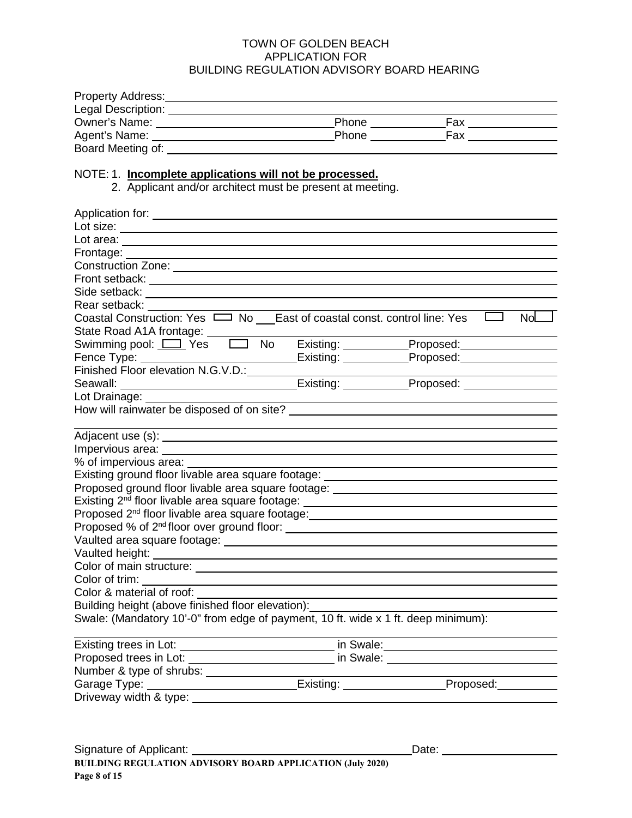#### TOWN OF GOLDEN BEACH APPLICATION FOR BUILDING REGULATION ADVISORY BOARD HEARING

| <b>Property Address:</b> |              |     |  |
|--------------------------|--------------|-----|--|
| Legal Description:       |              |     |  |
| Owner's Name:            | <b>Phone</b> | Fax |  |
| Agent's Name:            | <b>Phone</b> | Fax |  |
| Board Meeting of:        |              |     |  |

#### NOTE: 1. **Incomplete applications will not be processed.**

2. Applicant and/or architect must be present at meeting.

| Front setback: The contract of the contract of the contract of the contract of the contract of the contract of the contract of the contract of the contract of the contract of the contract of the contract of the contract of       |  |                                                                                                                                                                                                                                |     |
|--------------------------------------------------------------------------------------------------------------------------------------------------------------------------------------------------------------------------------------|--|--------------------------------------------------------------------------------------------------------------------------------------------------------------------------------------------------------------------------------|-----|
|                                                                                                                                                                                                                                      |  |                                                                                                                                                                                                                                |     |
| Rear setback:                                                                                                                                                                                                                        |  |                                                                                                                                                                                                                                |     |
| Coastal Construction: Yes $\Box$ No East of coastal const. control line: Yes                                                                                                                                                         |  |                                                                                                                                                                                                                                | NoL |
| State Road A1A frontage: ______                                                                                                                                                                                                      |  |                                                                                                                                                                                                                                |     |
| Swimming pool: <u>[ ]</u> Yes [ ] No                                                                                                                                                                                                 |  | Existing: Proposed:                                                                                                                                                                                                            |     |
|                                                                                                                                                                                                                                      |  | Existing: Proposed: FXIS                                                                                                                                                                                                       |     |
|                                                                                                                                                                                                                                      |  |                                                                                                                                                                                                                                |     |
|                                                                                                                                                                                                                                      |  |                                                                                                                                                                                                                                |     |
| Lot Drainage: <u>________________________</u>                                                                                                                                                                                        |  |                                                                                                                                                                                                                                |     |
|                                                                                                                                                                                                                                      |  |                                                                                                                                                                                                                                |     |
|                                                                                                                                                                                                                                      |  |                                                                                                                                                                                                                                |     |
|                                                                                                                                                                                                                                      |  |                                                                                                                                                                                                                                |     |
|                                                                                                                                                                                                                                      |  |                                                                                                                                                                                                                                |     |
| % of impervious area:                                                                                                                                                                                                                |  |                                                                                                                                                                                                                                |     |
| Existing ground floor livable area square footage: _____________________________                                                                                                                                                     |  |                                                                                                                                                                                                                                |     |
| Proposed ground floor livable area square footage: _____________________________                                                                                                                                                     |  |                                                                                                                                                                                                                                |     |
| Existing 2 <sup>nd</sup> floor livable area square footage: _______________________________                                                                                                                                          |  |                                                                                                                                                                                                                                |     |
| Proposed 2 <sup>nd</sup> floor livable area square footage: <b>container and the container and the container of the container</b>                                                                                                    |  |                                                                                                                                                                                                                                |     |
| Proposed % of 2 <sup>nd</sup> floor over ground floor: <u>contained and contained</u> and an array and a proposed % of 2 <sup>nd</sup> floor over ground floor:                                                                      |  |                                                                                                                                                                                                                                |     |
|                                                                                                                                                                                                                                      |  |                                                                                                                                                                                                                                |     |
|                                                                                                                                                                                                                                      |  |                                                                                                                                                                                                                                |     |
|                                                                                                                                                                                                                                      |  |                                                                                                                                                                                                                                |     |
|                                                                                                                                                                                                                                      |  |                                                                                                                                                                                                                                |     |
|                                                                                                                                                                                                                                      |  |                                                                                                                                                                                                                                |     |
| Building height (above finished floor elevation):                                                                                                                                                                                    |  |                                                                                                                                                                                                                                |     |
| Swale: (Mandatory 10'-0" from edge of payment, 10 ft. wide x 1 ft. deep minimum):                                                                                                                                                    |  |                                                                                                                                                                                                                                |     |
|                                                                                                                                                                                                                                      |  |                                                                                                                                                                                                                                |     |
| Existing trees in Lot: <u>example and the set of the set of the set of the set of the set of the set of the set of the set of the set of the set of the set of the set of the set of the set of the set of the set of the set of</u> |  |                                                                                                                                                                                                                                |     |
|                                                                                                                                                                                                                                      |  | in Swale: University of the Swale of the Swale of the Swale of the Swale of the Swale of the Swale of the Swale of the Swale of the Swale of the Swale of the Swale of the Swale of the Swale of the Swale of the Swale of the |     |
| Number & type of shrubs: _____________                                                                                                                                                                                               |  |                                                                                                                                                                                                                                |     |
| Garage Type: _____________________________Existing: ___________________Proposed:_______                                                                                                                                              |  |                                                                                                                                                                                                                                |     |
|                                                                                                                                                                                                                                      |  |                                                                                                                                                                                                                                |     |
|                                                                                                                                                                                                                                      |  |                                                                                                                                                                                                                                |     |

Date: <u>University</u>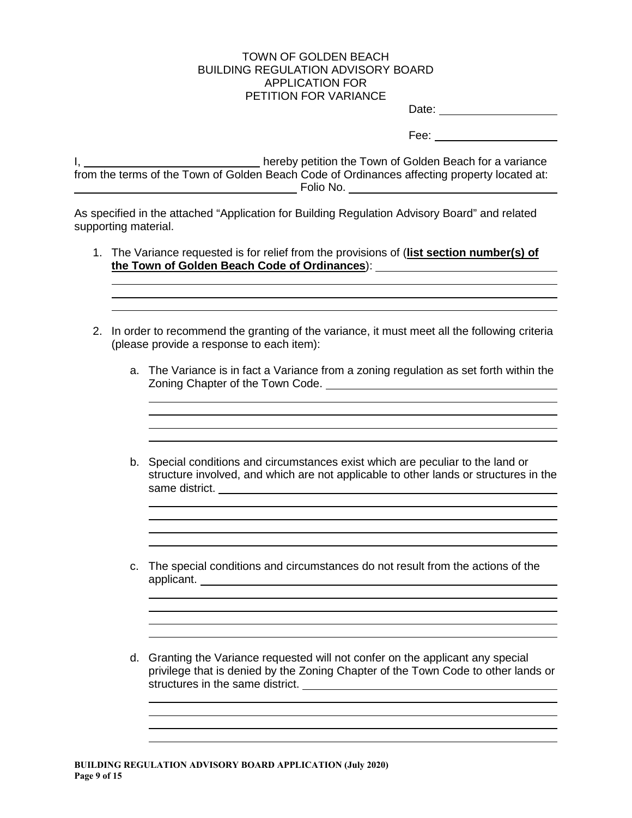#### TOWN OF GOLDEN BEACH BUILDING REGULATION ADVISORY BOARD APPLICATION FOR PETITION FOR VARIANCE

Date: <u>\_\_\_\_\_\_\_\_\_\_\_\_\_\_\_\_\_\_\_\_\_</u>

Fee: when the contract of the contract of the contract of the contract of the contract of the contract of the contract of the contract of the contract of the contract of the contract of the contract of the contract of the

I, hereby petition the Town of Golden Beach for a variance from the terms of the Town of Golden Beach Code of Ordinances affecting property located at: Folio No.

As specified in the attached "Application for Building Regulation Advisory Board" and related supporting material.

- 1. The Variance requested is for relief from the provisions of (**list section number(s) of the Town of Golden Beach Code of Ordinances**):
- 2. In order to recommend the granting of the variance, it must meet all the following criteria (please provide a response to each item):
	- a. The Variance is in fact a Variance from a zoning regulation as set forth within the Zoning Chapter of the Town Code.
	- b. Special conditions and circumstances exist which are peculiar to the land or structure involved, and which are not applicable to other lands or structures in the same district.
	- c. The special conditions and circumstances do not result from the actions of the applicant.
	- d. Granting the Variance requested will not confer on the applicant any special privilege that is denied by the Zoning Chapter of the Town Code to other lands or structures in the same district.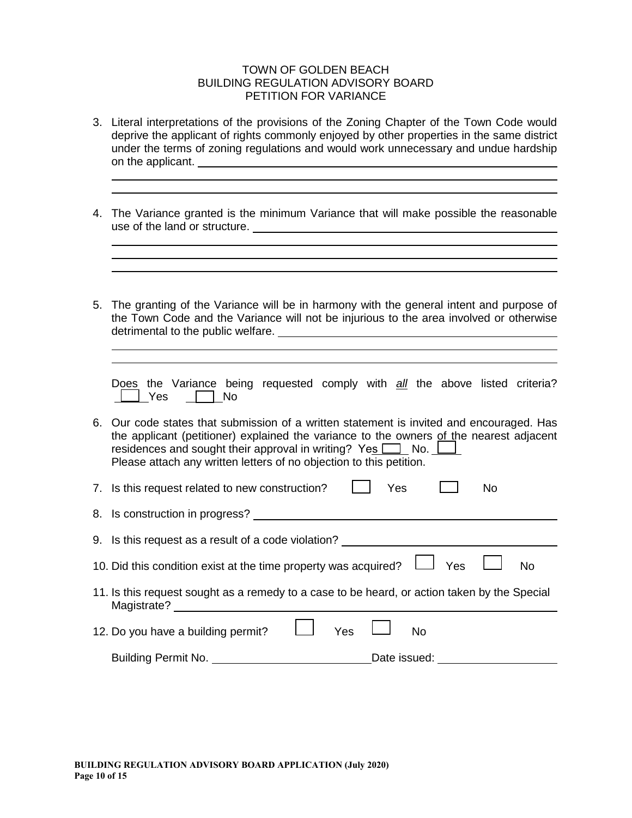#### TOWN OF GOLDEN BEACH BUILDING REGULATION ADVISORY BOARD PETITION FOR VARIANCE

- 3. Literal interpretations of the provisions of the Zoning Chapter of the Town Code would deprive the applicant of rights commonly enjoyed by other properties in the same district under the terms of zoning regulations and would work unnecessary and undue hardship on the applicant.
- 4. The Variance granted is the minimum Variance that will make possible the reasonable use of the land or structure.
- 5. The granting of the Variance will be in harmony with the general intent and purpose of the Town Code and the Variance will not be injurious to the area involved or otherwise detrimental to the public welfare. Does the Variance being requested comply with *all* the above listed criteria?  $\Box$  Yes  $\Box$  No 6. Our code states that submission of a written statement is invited and encouraged. Has the applicant (petitioner) explained the variance to the owners of the nearest adjacent residences and sought their approval in writing? Yes  $\Box$  No.  $\Box$ Please attach any written letters of no objection to this petition. 7. Is this request related to new construction?  $\Box$  Yes  $\Box$  No 8. Is construction in progress? 9. Is this request as a result of a code violation? 10. Did this condition exist at the time property was acquired?  $\Box$  Yes  $\Box$  No 11. Is this request sought as a remedy to a case to be heard, or action taken by the Special Magistrate? 12. Do you have a building permit?  $\Box$  Yes  $\Box$  No Building Permit No. Date issued: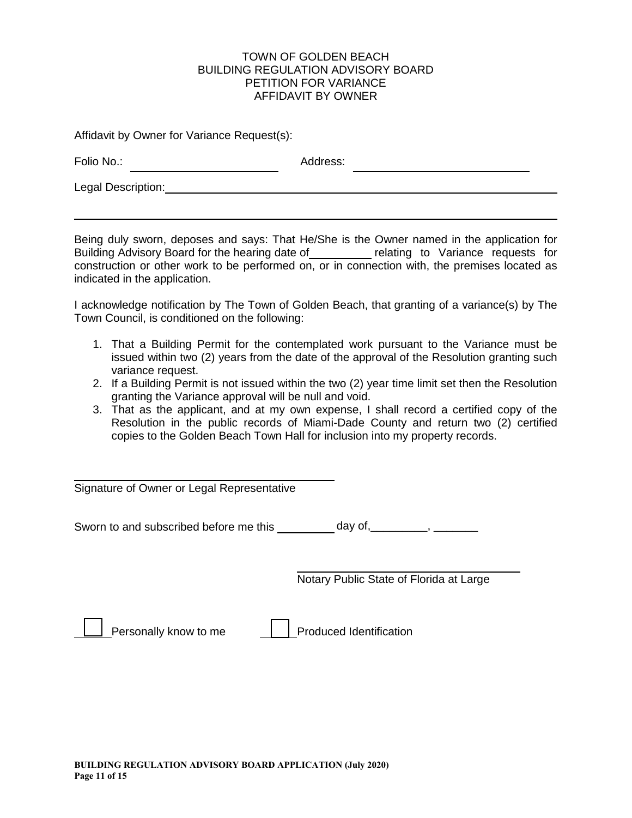#### TOWN OF GOLDEN BEACH BUILDING REGULATION ADVISORY BOARD PETITION FOR VARIANCE AFFIDAVIT BY OWNER

Affidavit by Owner for Variance Request(s):

| Folio No.:         | Address: |
|--------------------|----------|
| Legal Description: |          |

Being duly sworn, deposes and says: That He/She is the Owner named in the application for Building Advisory Board for the hearing date of relating to Variance requests for construction or other work to be performed on, or in connection with, the premises located as indicated in the application.

I acknowledge notification by The Town of Golden Beach, that granting of a variance(s) by The Town Council, is conditioned on the following:

- 1. That a Building Permit for the contemplated work pursuant to the Variance must be issued within two (2) years from the date of the approval of the Resolution granting such variance request.
- 2. If a Building Permit is not issued within the two (2) year time limit set then the Resolution granting the Variance approval will be null and void.
- 3. That as the applicant, and at my own expense, I shall record a certified copy of the Resolution in the public records of Miami-Dade County and return two (2) certified copies to the Golden Beach Town Hall for inclusion into my property records.

Signature of Owner or Legal Representative

Sworn to and subscribed before me this \_\_\_\_\_\_\_\_\_ day of, \_\_\_\_\_\_\_\_, \_\_\_\_\_\_\_\_

Notary Public State of Florida at Large

Personally know to me  $\|\cdot\|$  Produced Identification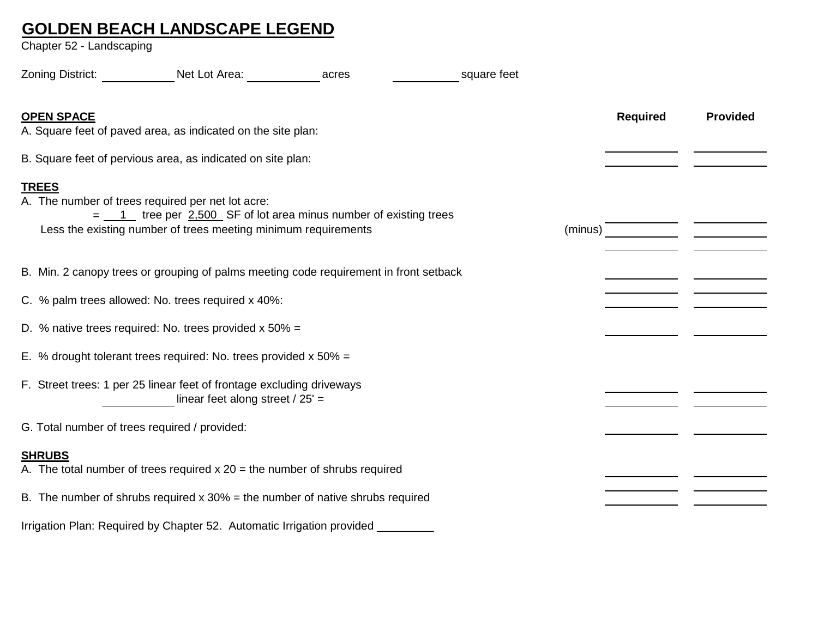### **GOLDEN BEACH LANDSCAPE LEGEND**

Chapter 52 - Landscaping

| Zoning District:                              | Net Lot Area: Net Lot Area:                                                                                                                                                               | acres | square feet |         |                 |                 |
|-----------------------------------------------|-------------------------------------------------------------------------------------------------------------------------------------------------------------------------------------------|-------|-------------|---------|-----------------|-----------------|
| <b>OPEN SPACE</b>                             | A. Square feet of paved area, as indicated on the site plan:                                                                                                                              |       |             |         | <b>Required</b> | <b>Provided</b> |
|                                               | B. Square feet of pervious area, as indicated on site plan:                                                                                                                               |       |             |         |                 |                 |
| <b>TREES</b>                                  | A. The number of trees required per net lot acre:<br>$=$ 1 tree per 2,500 SF of lot area minus number of existing trees<br>Less the existing number of trees meeting minimum requirements |       |             | (minus) |                 |                 |
|                                               | B. Min. 2 canopy trees or grouping of palms meeting code requirement in front setback                                                                                                     |       |             |         |                 |                 |
|                                               | C. % palm trees allowed: No. trees required x 40%:                                                                                                                                        |       |             |         |                 |                 |
|                                               | D. % native trees required: No. trees provided $x$ 50% =                                                                                                                                  |       |             |         |                 |                 |
|                                               | E. % drought tolerant trees required: No. trees provided $x$ 50% =                                                                                                                        |       |             |         |                 |                 |
|                                               | F. Street trees: 1 per 25 linear feet of frontage excluding driveways<br>linear feet along street $/25'$ =                                                                                |       |             |         |                 |                 |
| G. Total number of trees required / provided: |                                                                                                                                                                                           |       |             |         |                 |                 |
| <b>SHRUBS</b>                                 | A. The total number of trees required $x 20$ = the number of shrubs required                                                                                                              |       |             |         |                 |                 |
|                                               | B. The number of shrubs required $x$ 30% = the number of native shrubs required                                                                                                           |       |             |         |                 |                 |
|                                               | Irrigation Plan: Required by Chapter 52. Automatic Irrigation provided                                                                                                                    |       |             |         |                 |                 |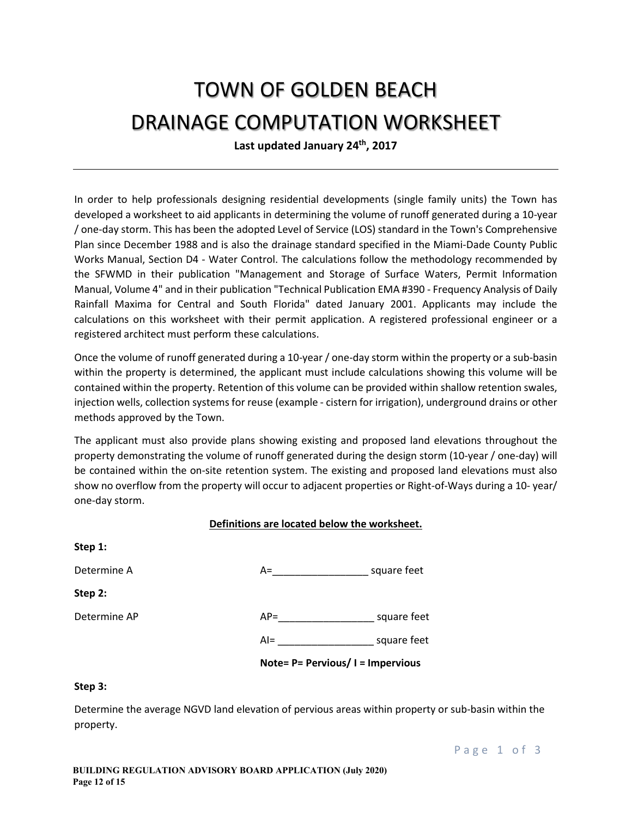# TOWN OF GOLDEN BEACH DRAINAGE COMPUTATION WORKSHEET

**Last updated January 24th, 2017**

In order to help professionals designing residential developments (single family units) the Town has developed a worksheet to aid applicants in determining the volume of runoff generated during a 10-year / one-day storm. This has been the adopted Level of Service (LOS) standard in the Town's Comprehensive Plan since December 1988 and is also the drainage standard specified in the Miami-Dade County Public Works Manual, Section D4 - Water Control. The calculations follow the methodology recommended by the SFWMD in their publication "Management and Storage of Surface Waters, Permit Information Manual, Volume 4" and in their publication "Technical Publication EMA #390 - Frequency Analysis of Daily Rainfall Maxima for Central and South Florida" dated January 2001. Applicants may include the calculations on this worksheet with their permit application. A registered professional engineer or a registered architect must perform these calculations.

Once the volume of runoff generated during a 10-year / one-day storm within the property or a sub-basin within the property is determined, the applicant must include calculations showing this volume will be contained within the property. Retention of this volume can be provided within shallow retention swales, injection wells, collection systems for reuse (example - cistern for irrigation), underground drains or other methods approved by the Town.

The applicant must also provide plans showing existing and proposed land elevations throughout the property demonstrating the volume of runoff generated during the design storm (10-year / one-day) will be contained within the on-site retention system. The existing and proposed land elevations must also show no overflow from the property will occur to adjacent properties or Right-of-Ways during a 10- year/ one-day storm.

|--|

| JCDL         |                                   |             |
|--------------|-----------------------------------|-------------|
| Determine A  | A=                                | square feet |
| Step 2:      |                                   |             |
| Determine AP | $AP =$                            | square feet |
|              | $Al =$                            | square feet |
|              | Note= P= Pervious/ I = Impervious |             |

#### **Step 3:**

**Step 1:**

Determine the average NGVD land elevation of pervious areas within property or sub-basin within the property.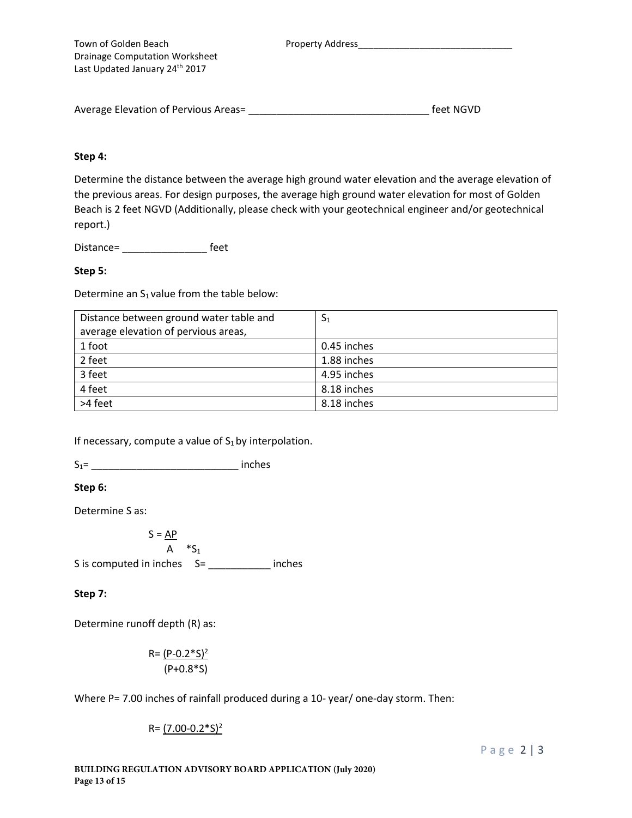| Town of Golden Beach                  |
|---------------------------------------|
| <b>Drainage Computation Worksheet</b> |
| Last Updated January 24th 2017        |

Property Address\_\_\_\_\_\_

| Average Elevation of Pervious Areas= | feet NGVD |
|--------------------------------------|-----------|
|                                      |           |

#### **Step 4:**

Determine the distance between the average high ground water elevation and the average elevation of the previous areas. For design purposes, the average high ground water elevation for most of Golden Beach is 2 feet NGVD (Additionally, please check with your geotechnical engineer and/or geotechnical report.)

Distance= \_\_\_\_\_\_\_\_\_\_\_\_\_\_\_ feet

#### **Step 5:**

Determine an  $S_1$  value from the table below:

| Distance between ground water table and | S <sub>1</sub> |
|-----------------------------------------|----------------|
| average elevation of pervious areas,    |                |
| 1 foot                                  | 0.45 inches    |
| 2 feet                                  | 1.88 inches    |
| 3 feet                                  | 4.95 inches    |
| 4 feet                                  | 8.18 inches    |
| >4 feet                                 | 8.18 inches    |

If necessary, compute a value of  $S_1$  by interpolation.

S1= \_\_\_\_\_\_\_\_\_\_\_\_\_\_\_\_\_\_\_\_\_\_\_\_\_\_ inches

#### **Step 6:**

Determine S as:

 $S = \underline{AP}$ 

A  $*S_1$ S is computed in inches S= \_\_\_\_\_\_\_\_\_\_\_ inches

#### **Step 7:**

Determine runoff depth (R) as:

$$
R = \frac{(P-0.2 * S)^2}{(P+0.8 * S)}
$$

Where P= 7.00 inches of rainfall produced during a 10- year/ one-day storm. Then:

 $R = (7.00 - 0.2 * S)^2$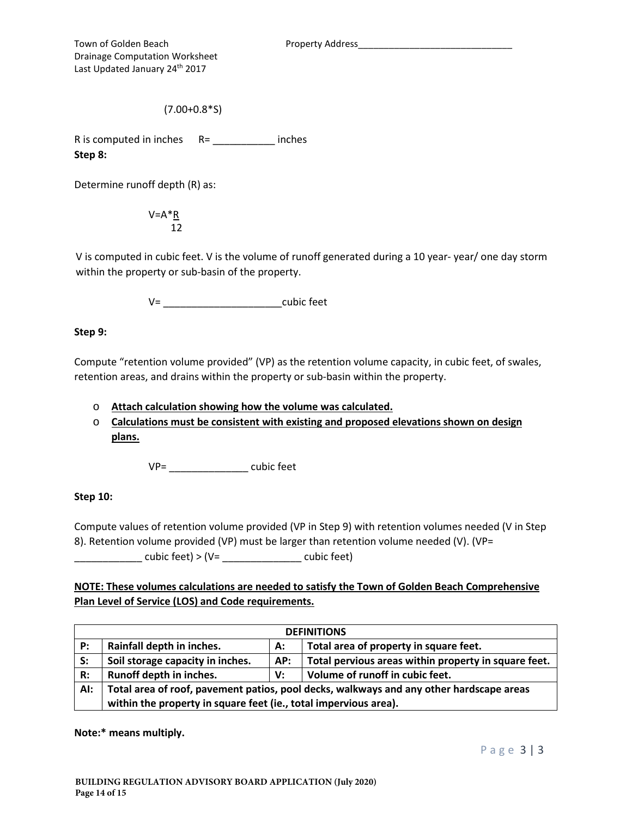Town of Golden Beach Property Address\_ Drainage Computation Worksheet Last Updated January 24<sup>th</sup> 2017

(7.00+0.8\*S)

R is computed in inches  $R =$  \_\_\_\_\_\_\_\_\_\_\_\_\_\_\_\_ inches **Step 8:** 

Determine runoff depth (R) as:

 $V=A^*R$ 12

V is computed in cubic feet. V is the volume of runoff generated during a 10 year- year/ one day storm within the property or sub-basin of the property.

 $V=$  cubic feet

**Step 9:** 

Compute "retention volume provided" (VP) as the retention volume capacity, in cubic feet, of swales, retention areas, and drains within the property or sub-basin within the property.

o **Attach calculation showing how the volume was calculated.**

o **Calculations must be consistent with existing and proposed elevations shown on design plans.**

VP= \_\_\_\_\_\_\_\_\_\_\_\_\_\_ cubic feet

#### **Step 10:**

Compute values of retention volume provided (VP in Step 9) with retention volumes needed (V in Step 8). Retention volume provided (VP) must be larger than retention volume needed (V). (VP= \_\_\_\_\_\_\_\_\_\_\_\_ cubic feet) > (V= \_\_\_\_\_\_\_\_\_\_\_\_\_\_ cubic feet)

**NOTE: These volumes calculations are needed to satisfy the Town of Golden Beach Comprehensive Plan Level of Service (LOS) and Code requirements.** 

| <b>DEFINITIONS</b> |                                                                                         |     |                                                      |  |
|--------------------|-----------------------------------------------------------------------------------------|-----|------------------------------------------------------|--|
| P:                 | Rainfall depth in inches.                                                               | А:  | Total area of property in square feet.               |  |
| S:                 | Soil storage capacity in inches.                                                        | AP: | Total pervious areas within property in square feet. |  |
| R:                 | Runoff depth in inches.                                                                 | V:  | Volume of runoff in cubic feet.                      |  |
| AI:                | Total area of roof, pavement patios, pool decks, walkways and any other hardscape areas |     |                                                      |  |
|                    | within the property in square feet (ie., total impervious area).                        |     |                                                      |  |

**Note:\* means multiply.**